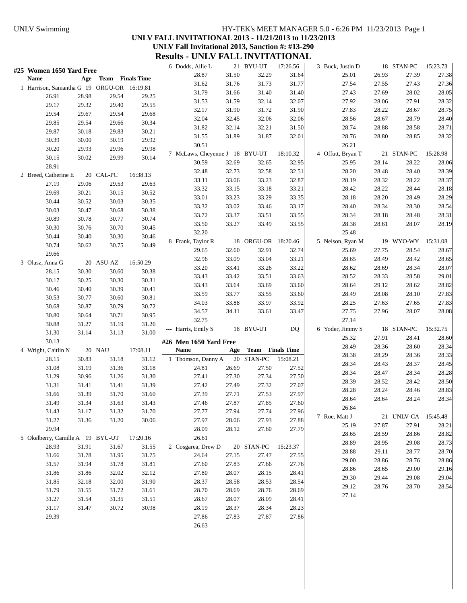### UNLV Swimming HY-TEK's MEET MANAGER 5.0 - 6:26 PM 11/23/2013 Page 1 **UNLV FALL INVITATIONAL 2013 - 11/21/2013 to 11/23/2013 UNLV Fall Invitational 2013, Sanction #: #13-290 Results - UNLV FALL INVITATIONAL**

| #25 Women 1650 Yard Free                   |       |                      |          | 6 Dodds, Allie L               |       | 21 BYU-UT            | 17:26.56 | 3 Buck, Justin D  |       | 18 STAN-PC          | 15:23.73 |
|--------------------------------------------|-------|----------------------|----------|--------------------------------|-------|----------------------|----------|-------------------|-------|---------------------|----------|
| Name                                       |       | Age Team Finals Time |          | 28.87                          | 31.50 | 32.29                | 31.64    | 25.01             | 26.93 | 27.39               | 27.38    |
| 1 Harrison, Samantha G 19 ORGU-OR 16:19.81 |       |                      |          | 31.62                          | 31.76 | 31.73                | 31.77    | 27.54             | 27.55 | 27.43               | 27.36    |
| 26.91                                      | 28.98 | 29.54                | 29.25    | 31.79                          | 31.66 | 31.40                | 31.40    | 27.43             | 27.69 | 28.02               | 28.05    |
| 29.17                                      | 29.32 | 29.40                | 29.55    | 31.53                          | 31.59 | 32.14                | 32.07    | 27.92             | 28.06 | 27.91               | 28.32    |
| 29.54                                      | 29.67 | 29.54                | 29.68    | 32.17                          | 31.90 | 31.72                | 31.90    | 27.83             | 28.22 | 28.67               | 28.75    |
| 29.85                                      | 29.54 | 29.66                | 30.34    | 32.04                          | 32.45 | 32.06                | 32.06    | 28.56             | 28.67 | 28.79               | 28.40    |
| 29.87                                      | 30.18 | 29.83                | 30.21    | 31.82                          | 32.14 | 32.21                | 31.50    | 28.74             | 28.88 | 28.58               | 28.71    |
| 30.39                                      | 30.00 | 30.19                | 29.92    | 31.55                          | 31.89 | 31.87                | 32.01    | 28.76             | 28.80 | 28.85               | 28.32    |
| 30.20                                      | 29.93 | 29.96                | 29.98    | 30.51                          |       |                      |          | 26.21             |       |                     |          |
|                                            |       |                      | 30.14    | 7 McLaws, Cheyenne J 18 BYU-UT |       |                      | 18:10.32 | 4 Offutt, Bryan T |       | 21 STAN-PC          | 15:28.98 |
| 30.15                                      | 30.02 | 29.99                |          | 30.59                          | 32.69 | 32.65                | 32.95    | 25.95             | 28.14 | 28.22               | 28.06    |
| 28.91                                      |       |                      |          | 32.48                          | 32.73 | 32.58                | 32.51    | 28.20             | 28.48 | 28.40               | 28.39    |
| 2 Breed, Catherine E                       |       | 20 CAL-PC            | 16:38.13 | 33.11                          | 33.06 | 33.23                | 32.87    | 28.19             | 28.32 | 28.22               | 28.37    |
| 27.19                                      | 29.06 | 29.53                | 29.63    | 33.32                          | 33.15 | 33.18                | 33.21    | 28.42             | 28.22 | 28.44               | 28.18    |
| 29.69                                      | 30.21 | 30.15                | 30.52    | 33.01                          | 33.23 | 33.29                | 33.35    | 28.18             | 28.20 | 28.49               | 28.29    |
| 30.44                                      | 30.52 | 30.03                | 30.35    | 33.32                          | 33.02 | 33.46                | 33.17    | 28.40             | 28.34 | 28.30               | 28.54    |
| 30.03                                      | 30.47 | 30.68                | 30.38    | 33.72                          | 33.37 | 33.51                | 33.55    | 28.34             | 28.18 | 28.48               | 28.31    |
| 30.89                                      | 30.78 | 30.77                | 30.74    | 33.50                          | 33.27 | 33.49                | 33.55    | 28.38             | 28.61 | 28.07               | 28.19    |
| 30.30                                      | 30.76 | 30.70                | 30.45    | 32.20                          |       |                      |          | 25.48             |       |                     |          |
| 30.44                                      | 30.40 | 30.30                | 30.46    | 8 Frank, Taylor R              |       | 18 ORGU-OR 18:20.46  |          | 5 Nelson, Ryan M  |       | 19 WYO-WY 15:31.08  |          |
| 30.74                                      | 30.62 | 30.75                | 30.49    | 29.65                          | 32.60 | 32.91                | 32.74    | 25.69             | 27.75 | 28.54               | 28.67    |
| 29.66                                      |       |                      |          | 32.96                          | 33.09 | 33.04                | 33.21    | 28.65             | 28.49 | 28.42               | 28.65    |
| 3 Olasz, Anna G                            |       | 20 ASU-AZ            | 16:50.29 | 33.20                          | 33.41 | 33.26                | 33.22    | 28.62             | 28.69 | 28.34               | 28.07    |
| 28.15                                      | 30.30 | 30.60                | 30.38    | 33.43                          | 33.42 | 33.51                | 33.63    | 28.52             | 28.33 | 28.58               | 29.01    |
| 30.17                                      | 30.25 | 30.30                | 30.31    | 33.43                          | 33.64 | 33.69                | 33.60    | 28.64             | 29.12 | 28.62               | 28.82    |
| 30.46                                      | 30.40 | 30.39                | 30.41    | 33.59                          | 33.77 | 33.55                | 33.60    | 28.49             | 28.08 | 28.10               | 27.83    |
| 30.53                                      | 30.77 | 30.60                | 30.81    | 34.03                          | 33.88 | 33.97                | 33.92    | 28.25             | 27.63 | 27.65               | 27.83    |
| 30.68                                      | 30.87 | 30.79                | 30.72    | 34.57                          | 34.11 | 33.61                | 33.47    | 27.75             | 27.96 | 28.07               | 28.08    |
| 30.80                                      | 30.64 | 30.71                | 30.95    | 32.75                          |       |                      |          | 27.14             |       |                     |          |
| 30.88                                      | 31.27 | 31.19                | 31.26    | --- Harris, Emily S            |       | 18 BYU-UT            | DQ.      | 6 Yoder, Jimmy S  |       | 18 STAN-PC          | 15:32.75 |
| 31.30                                      | 31.14 | 31.13                | 31.00    |                                |       |                      |          | 25.32             | 27.91 | 28.41               | 28.60    |
| 30.13                                      |       |                      |          | #26 Men 1650 Yard Free         |       |                      |          | 28.49             | 28.36 | 28.60               | 28.34    |
| 4 Wright, Caitlin N                        |       | 20 NAU               | 17:08.11 | Name                           |       | Age Team Finals Time |          | 28.38             | 28.29 | 28.36               | 28.33    |
| 28.15                                      | 30.83 | 31.18                | 31.12    | 1 Thomson, Danny A             |       | 20 STAN-PC           | 15:08.21 | 28.34             | 28.43 | 28.37               | 28.45    |
| 31.08                                      | 31.19 | 31.36                | 31.18    | 24.81                          | 26.69 | 27.50                | 27.52    | 28.34             | 28.47 | 28.34               | 28.28    |
| 31.29                                      | 30.96 | 31.26                | 31.30    | 27.41                          | 27.30 | 27.34                | 27.50    | 28.39             | 28.52 | 28.42               | 28.50    |
| 31.31                                      | 31.41 | 31.41                | 31.39    | 27.42                          | 27.49 | 27.32                | 27.07    | 28.28             | 28.24 | 28.46               | 28.83    |
| 31.66                                      | 31.39 | 31.70                | 31.60    | 27.39                          | 27.71 | 27.53                | 27.97    | 28.64             | 28.64 | 28.24               | 28.34    |
| 31.49                                      | 31.34 | 31.63                | 31.43    | 27.46                          | 27.87 | 27.85                | 27.60    | 26.84             |       |                     |          |
| 31.43                                      | 31.17 | 31.32                | 31.70    | 27.77                          | 27.94 | 27.74                | 27.96    | 7 Roe, Matt J     |       | 21 UNLV-CA 15:45.48 |          |
| 31.27                                      | 31.36 | 31.20                | 30.06    | 27.97                          | 28.06 | 27.93                | 27.88    | 25.19             | 27.87 | 27.91               | 28.21    |
| 29.94                                      |       |                      |          | 28.09                          | 28.12 | 27.60                | 27.79    | 28.65             | 28.59 | 28.86               | 28.82    |
| 5 Okelberry, Camille A 19 BYU-UT           |       |                      | 17:20.16 | 26.61                          |       |                      |          | 28.89             | 28.95 | 29.08               | 28.73    |
| 28.93                                      | 31.91 | 31.67                | 31.55    | 2 Cosgarea, Drew D             |       | 20 STAN-PC           | 15:23.37 | 28.88             | 29.11 | 28.77               | 28.70    |
| 31.66                                      | 31.78 | 31.95                | 31.75    | 24.64                          | 27.15 | 27.47                | 27.55    | 29.00             | 28.86 | 28.76               | 28.86    |
| 31.57                                      | 31.94 | 31.78                | 31.81    | 27.60                          | 27.83 | 27.66                | 27.76    | 28.86             | 28.65 | 29.00               | 29.16    |
| 31.86                                      | 31.86 | 32.02                | 32.12    | 27.80                          | 28.07 | 28.15                | 28.41    | 29.30             | 29.44 | 29.08               | 29.04    |
| 31.85                                      | 32.18 | 32.00                | 31.90    | 28.37                          | 28.58 | 28.53                | 28.54    | 29.12             | 28.76 | 28.70               | 28.54    |
| 31.79                                      | 31.55 | 31.72                | 31.61    | 28.70                          | 28.69 | 28.76                | 28.69    | 27.14             |       |                     |          |
| 31.27                                      | 31.54 | 31.35                | 31.51    | 28.67                          | 28.07 | 28.09                | 28.41    |                   |       |                     |          |
| 31.17                                      | 31.47 | 30.72                | 30.98    | 28.19                          | 28.37 | 28.34                | 28.23    |                   |       |                     |          |
| 29.39                                      |       |                      |          | 27.86                          | 27.83 | 27.87                | 27.86    |                   |       |                     |          |
|                                            |       |                      |          | 26.63                          |       |                      |          |                   |       |                     |          |
|                                            |       |                      |          |                                |       |                      |          |                   |       |                     |          |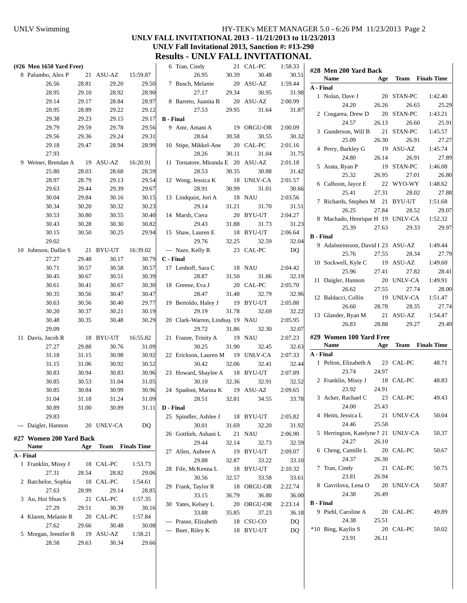#### UNLV Swimming HY-TEK's MEET MANAGER 5.0 - 6:26 PM 11/23/2013 Page 2 **UNLV FALL INVITATIONAL 2013 - 11/21/2013 to 11/23/2013 UNLV Fall Invitational 2013, Sanction #: #13-290 Results - UNLV FALL INVITATIONAL**

| (#26 Men 1650 Yard Free) |       |                         |          |                  | 6 Tran, Cindy                     |       | 21 CAL-PC       | 1:58.33 |                                     |       |                      |                         |
|--------------------------|-------|-------------------------|----------|------------------|-----------------------------------|-------|-----------------|---------|-------------------------------------|-------|----------------------|-------------------------|
| 8 Palumbo, Alex P        |       | 21 ASU-AZ               | 15:59.87 |                  | 26.95                             | 30.39 | 30.48           | 30.51   | #28 Men 200 Yard Back<br>Name       |       |                      | <b>Team</b> Finals Time |
| 26.56                    | 28.81 | 29.20                   | 29.50    |                  | 7 Busch, Melanie                  |       | 20 ASU-AZ       | 1:59.44 | A - Final                           | Age   |                      |                         |
| 28.95                    | 29.10 | 28.92                   | 28.90    |                  | 27.17                             | 29.34 | 30.95           | 31.98   |                                     |       |                      |                         |
| 29.14                    | 29.17 | 28.84                   | 28.97    |                  | 8 Barreto, Juanita B              |       | 20 ASU-AZ       | 2:00.99 | 1 Nolan, Dave J                     |       | 20 STAN-PC           | 1:42.40                 |
| 28.95                    | 28.89 | 29.22                   | 29.12    |                  | 27.53                             | 29.95 | 31.64           | 31.87   | 24.20                               | 26.26 | 26.65                | 25.29                   |
| 29.38                    | 29.23 | 29.15                   | 29.17    | <b>B</b> - Final |                                   |       |                 |         | 2 Cosgarea, Drew D                  |       | 20 STAN-PC           | 1:43.21                 |
| 29.79                    | 29.59 | 29.78                   | 29.56    |                  | 9 Amr, Amani A                    |       | 19 ORGU-OR      | 2:00.09 | 24.57                               | 26.13 | 26.60                | 25.91                   |
| 29.56                    | 29.36 | 29.24                   | 29.31    |                  | 28.64                             | 30.58 | 30.55           | 30.32   | 3 Gunderson, Will B                 |       | 21 STAN-PC           | 1:45.57                 |
| 29.18                    | 29.47 | 28.94                   | 28.99    |                  | 10 Stipe, Mikkel-Ane              |       | 20 CAL-PC       | 2:01.16 | 25.09                               | 26.30 | 26.91                | 27.27                   |
| 27.93                    |       |                         |          |                  | 28.26                             | 30.11 | 31.04           | 31.75   | 4 Perry, Barkley G                  |       | 19 ASU-AZ            | 1:45.74                 |
| 9 Weiner, Brendan A      |       | 19 ASU-AZ               | 16:20.91 |                  | 11 Tornatore, Miranda E 20 ASU-AZ |       |                 | 2:01.18 | 24.80                               | 26.14 | 26.91                | 27.89                   |
| 25.80                    | 28.03 | 28.68                   | 28.59    |                  | 28.53                             | 30.35 | 30.88           | 31.42   | 5 Arata, Ryan P                     |       | 19 STAN-PC           | 1:46.08                 |
| 28.97                    | 28.79 | 29.13                   | 29.54    |                  | 12 Wong, Jessica K                |       | 18 UNLV-CA      | 2:01.57 | 25.32                               | 26.95 | 27.01                | 26.80                   |
| 29.63                    | 29.44 | 29.39                   | 29.67    |                  | 28.91                             | 30.99 | 31.01           | 30.66   | 6 Calhoon, Jayce E                  |       | 22 WYO-WY            | 1:48.62                 |
| 30.04                    |       |                         |          |                  |                                   |       |                 |         | 25.41                               | 27.31 | 28.02                | 27.88                   |
|                          | 29.84 | 30.16                   | 30.15    |                  | 13 Lindquist, Jori A<br>29.14     | 31.21 | 18 NAU<br>31.70 | 2:03.56 | 7 Richards, Stephen M 21 BYU-UT     |       |                      | 1:51.68                 |
| 30.34                    | 30.20 | 30.32                   | 30.23    |                  |                                   |       |                 | 31.51   | 26.25                               | 27.84 | 28.52                | 29.07                   |
| 30.53                    | 30.80 | 30.55                   | 30.40    |                  | 14 Marsh, Ciera                   |       | 20 BYU-UT       | 2:04.27 | 8 Machado, Henrique H 19 UNLV-CA    |       |                      | 1:52.32                 |
| 30.43                    | 30.28 | 30.30                   | 30.82    |                  | 29.43                             | 31.88 | 31.73           | 31.23   | 25.39                               | 27.63 | 29.33                | 29.97                   |
| 30.15                    | 30.50 | 30.25                   | 29.94    |                  | 15 Shaw, Lauren E                 |       | 18 BYU-UT       | 2:06.64 | <b>B</b> - Final                    |       |                      |                         |
| 29.02                    |       |                         |          |                  | 29.76                             | 32.25 | 32.59           | 32.04   | 9 Adalsteinsson, David 1 23 ASU-AZ  |       |                      | 1:49.44                 |
| 10 Johnson, Dallin S     |       | 21 BYU-UT               | 16:39.02 |                  | --- Naze, Kelly R                 |       | 23 CAL-PC       | DQ      | 25.76                               | 27.55 | 28.34                | 27.79                   |
| 27.27                    | 29.48 | 30.17                   | 30.79    | C - Final        |                                   |       |                 |         | 10 Sockwell, Kyle C                 |       | 19 ASU-AZ            | 1:49.60                 |
| 30.71                    | 30.57 | 30.58                   | 30.57    |                  | 17 Lenhoff, Sara C                |       | 18 NAU          | 2:04.42 | 25.96                               | 27.41 | 27.82                | 28.41                   |
| 30.45                    | 30.67 | 30.51                   | 30.39    |                  | 28.87                             | 31.50 | 31.86           | 32.19   | 11 Daigler, Hannon                  |       | 20 UNLV-CA           | 1:49.91                 |
| 30.61                    | 30.41 | 30.67                   | 30.30    |                  | 18 Greene, Eva J                  |       | 20 CAL-PC       | 2:05.70 | 26.62                               | 27.55 | 27.74                | 28.00                   |
| 30.35                    | 30.56 | 30.47                   | 30.47    |                  | 28.47                             | 31.48 | 32.79           | 32.96   | 12 Baldacci, Collin                 |       | 19 UNLV-CA           | 1:51.47                 |
| 30.63                    | 30.56 | 30.40                   | 29.77    |                  | 19 Bertoldo, Haley J              |       | 19 BYU-UT       | 2:05.88 | 26.60                               | 28.78 | 28.35                | 27.74                   |
| 30.20                    | 30.37 | 30.21                   | 30.19    |                  | 29.19                             | 31.78 | 32.69           | 32.22   | 13 Glander, Ryan M                  |       | 21 ASU-AZ            | 1:54.47                 |
| 30.48                    | 30.35 | 30.48                   | 30.29    |                  | 20 Clark-Warren, Lindsay 19 NAU   |       |                 | 2:05.95 | 26.83                               | 28.88 | 29.27                | 29.49                   |
| 29.09                    |       |                         |          |                  | 29.72                             | 31.86 | 32.30           | 32.07   |                                     |       |                      |                         |
| 11 Davis, Jacob R        |       | 18 BYU-UT               | 16:55.82 |                  | 21 Frazee, Trinity A              |       | 19 NAU          | 2:07.23 | #29 Women 100 Yard Free             |       |                      |                         |
| 27.27                    | 29.88 | 30.76                   | 31.09    |                  | 30.25                             | 31.90 | 32.45           | 32.63   | Name                                |       | Age Team Finals Time |                         |
| 31.18                    | 31.15 | 30.98                   | 30.92    |                  | 22 Erickson, Lauren M             |       | 19 UNLV-CA      | 2:07.33 | A - Final                           |       |                      |                         |
| 31.15                    | 31.06 | 30.92                   | 30.52    |                  | 30.42                             | 32.06 | 32.41           | 32.44   | 1 Pelton, Elizabeth A               |       | 23 CAL-PC            | 48.71                   |
| 30.83                    | 30.94 | 30.83                   | 30.96    |                  | 23 Howard, Shaylee A              |       | 18 BYU-UT       | 2:07.89 | 23.74                               | 24.97 |                      |                         |
| 30.85                    | 30.53 | 31.04                   | 31.05    |                  | 30.10                             | 32.36 | 32.91           | 32.52   | 2 Franklin, Missy J                 |       | 18 CAL-PC            | 48.83                   |
| 30.85                    | 30.84 | 30.99                   | 30.96    |                  | 24 Spadoni, Marina K              |       | 19 ASU-AZ       | 2:09.65 | 23.92                               | 24.91 |                      |                         |
| 31.04                    | 31.18 | 31.24                   | 31.09    |                  | 28.51                             | 32.81 | 34.55           | 33.78   | 3 Acker, Rachael C                  |       | 23 CAL-PC            | 49.43                   |
| 30.89                    | 31.00 | 30.89                   | 31.11    | D - Final        |                                   |       |                 |         | 24.00                               | 25.43 |                      |                         |
| 29.83                    |       |                         |          |                  | 25 Spindler, Ashlee J             |       | 18 BYU-UT       | 2:05.82 | 4 Heim, Jessica L                   |       | 21 UNLV-CA           | 50.04                   |
| --- Daigler, Hannon      |       | 20 UNLV-CA              | DQ       |                  | 30.01                             | 31.69 | 32.20           | 31.92   | 24.46                               | 25.58 |                      |                         |
|                          |       |                         |          |                  | 26 Gottlieb, Ashani L             |       | 21 NAU          | 2:06.90 | 5 Herrington, Katelyne 1 21 UNLV-CA |       |                      | 50.37                   |
| #27 Women 200 Yard Back  |       |                         |          |                  | 29.44                             | 32.14 | 32.73           | 32.59   | 24.27                               | 26.10 |                      |                         |
| Name                     | Age   | <b>Team</b> Finals Time |          |                  | 27 Allen, Aubree A                |       | 19 BYU-UT       | 2:09.07 | 6 Cheng, Camille L                  |       | 20 CAL-PC            | 50.67                   |
| A - Final                |       |                         |          |                  | 29.88                             | 32.87 | 33.22           | 33.10   | 24.37                               | 26.30 |                      |                         |
| 1 Franklin, Missy J      |       | 18 CAL-PC               | 1:53.73  |                  | 28 Fife, McKenna L                |       | 18 BYU-UT       | 2:10.32 | 7 Tran, Cindy                       |       | 21 CAL-PC            | 50.75                   |
| 27.31                    | 28.54 | 28.82                   | 29.06    |                  | 30.56                             | 32.57 | 33.58           | 33.61   | 23.81                               | 26.94 |                      |                         |
| 2 Batchelor, Sophia      |       | 18 CAL-PC               | 1:54.61  |                  | 29 Frank, Taylor R                |       | 18 ORGU-OR      | 2:22.74 | 8 Gavrilova, Lena O                 |       | 20 UNLV-CA           | 50.87                   |
| 27.63                    | 28.99 | 29.14                   | 28.85    |                  | 33.15                             | 36.79 | 36.80           | 36.00   | 24.38                               | 26.49 |                      |                         |
| 3 Au, Hoi Shun S         |       | 21 CAL-PC               | 1:57.35  |                  | 30 Yates, Kelsey L                |       | 20 ORGU-OR      | 2:23.14 | <b>B</b> - Final                    |       |                      |                         |
| 27.29                    | 29.51 | 30.39                   | 30.16    |                  | 33.88                             | 35.85 | 37.23           | 36.18   | 9 Piehl, Caroline A                 |       | 20 CAL-PC            | 49.89                   |
| 4 Klaren, Melanie R      |       | 20 CAL-PC               | 1:57.84  |                  | --- Prasse, Elizabeth             |       | 18 CSU-CO       | DQ      | 24.38                               | 25.51 |                      |                         |
| 27.62                    | 29.66 | 30.48                   | 30.08    |                  | --- Buer, Riley K                 |       | 18 BYU-UT       | DQ      | *10 Bing, Kaylin S                  |       | 20 CAL-PC            | 50.02                   |
| 5 Morgan, Jennifer R     |       | 19 ASU-AZ               | 1:58.21  |                  |                                   |       |                 |         | 23.91                               | 26.11 |                      |                         |
| 28.58                    | 29.63 | 30.34                   | 29.66    |                  |                                   |       |                 |         |                                     |       |                      |                         |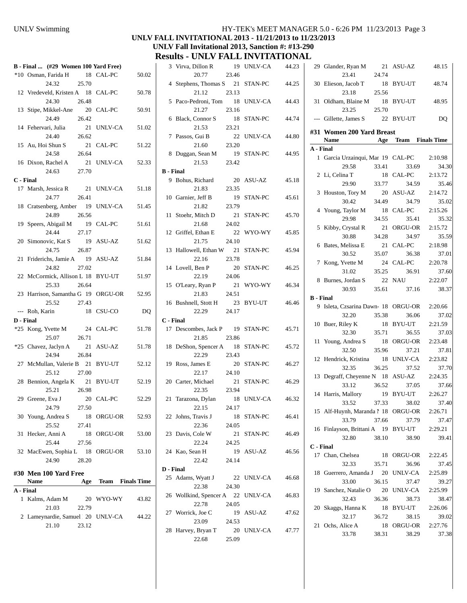# UNLV Swimming HY-TEK's MEET MANAGER 5.0 - 6:26 PM 11/23/2013 Page 3

### **UNLV FALL INVITATIONAL 2013 - 11/21/2013 to 11/23/2013 UNLV Fall Invitational 2013, Sanction #: #13-290**

**Results - UNLV FALL INVITATIONAL** 3 Virva, Dillon R 19 UNLV-CA 44.23

|           | B - Final  (#29 Women 100 Yard Free)                                 |                      |       |
|-----------|----------------------------------------------------------------------|----------------------|-------|
|           | *10 Osman, Farida H 18 CAL-PC<br>24.32 25.70                         |                      | 50.02 |
|           | 12 Vredeveld, Kristen A 18 CAL-PC                                    |                      | 50.78 |
|           | 24.30 26.48<br>13 Stipe, Mikkel-Ane 20 CAL-PC                        |                      | 50.91 |
|           | 26.42<br>24.49<br>14 Fehervari, Julia 21 UNLV-CA                     |                      | 51.02 |
|           | 26.62<br>24.40                                                       |                      | 51.22 |
|           | 15 Au, Hoi Shun S<br>24.58 26.64                                     |                      |       |
|           | 16 Dixon, Rachel A<br>$24.63$ 27.70                                  | 21 UNLV-CA           | 52.33 |
|           | <b>C</b> - Final                                                     |                      |       |
|           | 17 Marsh, Jessica R 21 UNLV-CA<br>26.41<br>24.77                     |                      | 51.18 |
|           | 18 Cratsenberg, Amber 19 UNLV-CA 51.45<br>24.89                      |                      |       |
|           | 26.56<br>19 Speers, Abigail M 19 CAL-PC<br>24.44                     |                      | 51.61 |
|           | 27.17<br>20 Simonovic, Kat S 19                                      | ASU-AZ               | 51.62 |
|           | 24.75<br>26.87<br>21 Friderichs, Jamie A 19 ASU-AZ                   |                      | 51.84 |
|           | 24.82<br>27.02<br>22 McCormick, Allison L 18 BYU-UT                  |                      | 51.97 |
|           | 26.64<br>25.33<br>23 Harrison, Samantha G 19 ORGU-OR 52.95           |                      |       |
|           | 25.52 27.43<br>--- Roh, Karin                                        | 18 CSU-CO            | DQ    |
|           | <b>D</b> - Final                                                     |                      |       |
|           |                                                                      |                      |       |
|           | *25 Kong, Yvette M 24 CAL-PC<br>25.07<br>26.71                       |                      | 51.78 |
|           | *25 Chavez, Jaclyn A 21 ASU-AZ<br>24.94 26.84                        |                      | 51.78 |
|           | 27 McMullan, Valerie B 21 BYU-UT<br>25.12 27.00                      |                      | 52.12 |
|           | 28 Bennion, Angela K 21 BYU-UT<br>26.98<br>25.21                     |                      | 52.19 |
|           | 29 Greene, Eva J 20 CAL-PC                                           |                      | 52.29 |
|           | 27.50<br>24.79                                                       |                      |       |
|           | 30 Young, Andrea S<br>18                                             | ORGU-OR              | 52.93 |
| 31        | 25.52<br>27.41<br>Hecker, Anni A<br>18                               | ORGU-OR              | 53.00 |
|           | 25.44<br>27.56                                                       |                      |       |
|           | 32 MacEwen, Sophia L 18 ORGU-OR<br>24.90<br>28.20                    |                      | 53.10 |
|           | #30 Men 100 Yard Free<br>Name                                        | Age Team Finals Time |       |
| A - Final |                                                                      |                      |       |
| 1         | Kalms, Adam M<br>20                                                  | WYO-WY               | 43.82 |
|           | 21.03<br>22.79<br>2 Lameynardie, Samuel 20 UNLV-CA<br>23.12<br>21.10 |                      | 44.22 |

|                  | 20.77                           | 23.46 |                |       |
|------------------|---------------------------------|-------|----------------|-------|
|                  | 4 Stephens, Thomas S 21 STAN-PC |       |                | 44.25 |
|                  | 21.12                           | 23.13 |                |       |
|                  | 5 Paco-Pedroni, Tom 18 UNLV-CA  |       |                | 44.43 |
|                  | 21.27                           | 23.16 |                |       |
|                  | 6 Black, Connor S               | - 18  | STAN-PC        | 44.74 |
|                  | 21.53                           | 23.21 |                |       |
|                  | 7 Passos, Gui B                 | 22    | <b>UNLV-CA</b> | 44.80 |
|                  | 21.60                           | 23.20 |                |       |
| 8                | Duggan, Sean M                  |       | 19 STAN-PC     | 44.95 |
|                  | 21.53                           | 23.42 |                |       |
| <b>B</b> - Final |                                 |       |                |       |
|                  | 9 Bohus, Richard                |       | 20 ASU-AZ      | 45.18 |
|                  | 21.83                           | 23.35 |                |       |
|                  | 10 Garnier, Jeff B              | 19    | STAN-PC        | 45.61 |
|                  | 21.82                           | 23.79 |                |       |
|                  | 11 Stoehr, Mitch D              | 21    | STAN-PC        | 45.70 |
|                  | 21.68                           | 24.02 |                |       |
|                  | 12 Griffel, Ethan E             | 22    | WYO-WY         | 45.85 |
|                  | 21.75                           | 24.10 |                |       |
|                  | 13 Hallowell, Ethan W 21        |       | STAN-PC        | 45.94 |
|                  | 22.16                           | 23.78 |                |       |
|                  | 14 Lovell, Ben P                |       | 20 STAN-PC     | 46.25 |
|                  | 22.19                           | 24.06 |                |       |
|                  | 15 O'Leary, Ryan P 21 WYO-WY    |       |                | 46.34 |
|                  | 21.83                           | 24.51 |                |       |
|                  | 16 Bushnell, Stott H 23 BYU-UT  |       |                | 46.46 |
|                  |                                 |       |                |       |
|                  | 22.29                           | 24.17 |                |       |
| C - Final        |                                 |       |                |       |
|                  | 17 Descombes, Jack P 19 STAN-PC |       |                | 45.71 |
|                  | 21.85                           | 23.86 |                |       |
| 18               | DeShon, Spencer A 18            |       | STAN-PC        | 45.72 |
|                  | 22.29                           | 23.43 |                |       |
|                  | 19 Ross, James E                |       | 20 STAN-PC     | 46.27 |
|                  | 22.17                           | 24.10 |                |       |
|                  | 20 Carter, Michael              |       | 21 STAN-PC     | 46.29 |
|                  | 22.35                           | 23.94 |                |       |
| 21               | Tarazona, Dylan                 | 18    | <b>UNLV-CA</b> | 46.32 |
|                  | 22.15                           | 24.17 |                |       |
|                  | 22 Johns, Travis J              |       | 18 STAN-PC     | 46.41 |
|                  | 22.36                           | 24.05 |                |       |
|                  | 23 Davis, Cole W                | 21    | STAN-PC        | 46.49 |
|                  | 22.24                           | 24.25 |                |       |
|                  | 24 Kao, Sean H                  |       | 19 ASU-AZ      | 46.56 |
|                  | 22.42                           | 24.14 |                |       |
| D - Final        |                                 |       |                |       |
|                  | 25 Adams, Wyatt J               | 22    | UNLV-CA        | 46.68 |
|                  | 22.38                           | 24.30 |                |       |
| 26               | Wollkind, Spencer A 22 UNLV-CA  |       |                | 46.83 |
|                  | 22.78                           | 24.05 |                |       |
|                  | 27 Worrick, Joe C               |       | 19 ASU-AZ      | 47.62 |
|                  | 23.09                           | 24.53 |                |       |
| 28               | Harvey, Bryan T<br>22.68        | 25.09 | 20 UNLV-CA     | 47.77 |

|    | 29 Glander, Ryan M 21 ASU-AZ<br>23.41                  | 24.74 |            | 48.15     |
|----|--------------------------------------------------------|-------|------------|-----------|
|    | 30 Elieson, Jacob T                                    |       | 18 BYU-UT  | 48.74     |
|    | 23.18                                                  | 25.56 |            |           |
|    | 31 Oldham, Blaine M                                    |       | 18 BYU-UT  | 48.95     |
|    | 23.25                                                  | 25.70 |            |           |
|    | --- Gillette, James S                                  |       | 22 BYU-UT  | <b>DQ</b> |
|    | #31 Women 200 Yard Breast<br>Name Age Team Finals Time |       |            |           |
|    | A - Final                                              |       |            |           |
|    | 1 Garcia Urzainqui, Mar 19 CAL-PC                      |       |            | 2:10.98   |
|    | 29.58                                                  | 33.41 | 33.69      | 34.30     |
|    | 2 Li, Celina T                                         | 18    | CAL-PC     | 2:13.72   |
|    | 29.90                                                  | 33.77 | 34.59      | 35.46     |
|    | 3 Houston, Tory M                                      | 20    | ASU-AZ     | 2:14.72   |
|    | 30.42                                                  | 34.49 | 34.79      | 35.02     |
|    | 4 Young, Taylor M                                      | - 18  | CAL-PC     | 2:15.26   |
|    | 29.98                                                  | 34.55 | 35.41      | 35.32     |
|    | 5 Kibby, Crystal R                                     | 21    | ORGU-OR    | 2:15.72   |
|    | 30.88                                                  | 34.28 | 34.97      | 35.59     |
|    | 6 Bates, Melissa E                                     |       | 21 CAL-PC  | 2:18.98   |
|    | 30.52                                                  | 35.07 | 36.38      | 37.01     |
|    | 7 Kong, Yvette M                                       |       | 24 CAL-PC  | 2:20.78   |
|    | 31.02                                                  | 35.25 | 36.91      | 37.60     |
|    | 8 Burnes, Jordan S                                     |       | 22 NAU     | 2:22.07   |
|    |                                                        |       |            |           |
|    | 30.93<br><b>B</b> - Final                              | 35.61 | 37.16      | 38.37     |
|    | 9 Isleta, Czsarina Dawn- 18 ORGU-OR                    |       |            | 2:20.66   |
|    | 32.20                                                  | 35.38 | 36.06      | 37.02     |
|    | 10 Buer, Riley K                                       |       | 18 BYU-UT  | 2:21.59   |
|    | 32.30                                                  | 35.71 | 36.55      | 37.03     |
|    | 11 Young, Andrea S                                     |       | 18 ORGU-OR | 2:23.48   |
|    | 32.50                                                  | 35.96 | 37.21      | 37.81     |
|    | 12 Hendrick, Kristina 18 UNLV-CA                       |       |            | 2:23.82   |
|    | 32.35                                                  | 36.25 | 37.52      | 37.70     |
|    | 13 Degraff, Cheyenne N 18 ASU-AZ                       |       |            | 2:24.35   |
|    | 33.12                                                  | 36.52 | 37.05      | 37.66     |
|    | 14 Harris, Mallory 19 BYU-UT                           |       |            | 2:26.27   |
|    | 33.52 37.33 38.02                                      |       |            | 37.40     |
|    | 15 Alf-Huynh, Maranda N 18 ORGU-OR 2:26.71             |       |            |           |
|    | 33.79                                                  | 37.66 | 37.79      | 37.47     |
|    | 16 Finlayson, Brittani A 19 BYU-UT                     |       |            | 2:29.21   |
|    | 32.80                                                  | 38.10 |            | 39.41     |
|    | C - Final                                              |       | 38.90      |           |
|    | 17 Chan, Chelsea                                       |       |            |           |
|    |                                                        | 18    | ORGU-OR    | 2:22.45   |
|    | 32.33                                                  | 35.71 | 36.96      | 37.45     |
| 18 | Guerrero, Amanda J                                     | 20    | UNLV-CA    | 2:25.89   |
|    | 33.00                                                  | 36.15 | 37.47      | 39.27     |
| 19 | Sanchez, Natalie O                                     |       | 20 UNLV-CA | 2:25.99   |
|    | 32.43                                                  | 36.36 | 38.73      | 38.47     |
| 20 | Skaggs, Hanna K                                        | 18    | BYU-UT     | 2:26.06   |
|    | 32.17                                                  | 36.72 | 38.15      | 39.02     |
| 21 | Ochs, Alice A                                          | 18    | ORGU-OR    | 2:27.76   |
|    | 33.78                                                  | 38.31 | 38.29      | 37.38     |
|    |                                                        |       |            |           |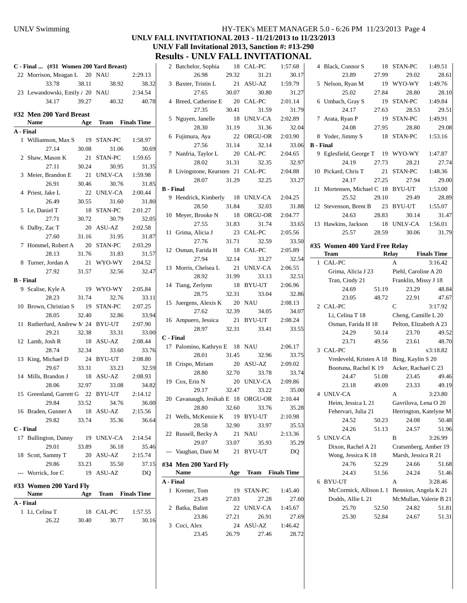### UNLV Swimming HY-TEK's MEET MANAGER 5.0 - 6:26 PM 11/23/2013 Page 4 **UNLV FALL INVITATIONAL 2013 - 11/21/2013 to 11/23/2013 UNLV Fall Invitational 2013, Sanction #: #13-290 Results - UNLV FALL INVITATIONAL**

|                  | C - Final  (#31 Women 200 Yard Breast) |       |             |                         |                  | 2 Bat    |
|------------------|----------------------------------------|-------|-------------|-------------------------|------------------|----------|
|                  | 22 Morrison, Meagan L 20 NAU           |       |             | 2:29.13                 |                  |          |
|                  | 33.78                                  | 38.11 | 38.92       | 38.32                   |                  | 3 Bax    |
|                  | 23 Lewandowski, Emily / 20 NAU         |       |             | 2:34.54                 |                  |          |
|                  | 34.17                                  | 39.27 | 40.32       | 40.78                   |                  | 4 Bre    |
|                  | #32 Men 200 Yard Breast                |       |             |                         |                  |          |
|                  | Name                                   |       |             | Age Team Finals Time    |                  | 5 Ngu    |
| A - Final        |                                        |       |             |                         |                  |          |
|                  | 1 Williamson, Max S 19 STAN-PC         |       |             | 1:58.97                 |                  | 6 Fuji   |
|                  | 27.14                                  | 30.08 | 31.06       | 30.69                   |                  |          |
|                  | 2 Shaw, Mason K                        | 21    | STAN-PC     | 1:59.65                 |                  | 7 Nar    |
|                  | 27.11                                  | 30.24 | 30.95       | 31.35                   |                  |          |
|                  | 3 Meier, Brandon E 21 UNLV-CA          |       |             | 1:59.98                 |                  | 8 Livi   |
|                  | 26.91                                  | 30.46 | 30.76       | 31.85                   |                  |          |
|                  | 4 Priest, Jake L                       |       | 22 UNLV-CA  | 2:00.44                 | <b>B</b> - Final |          |
|                  | 26.49                                  | 30.55 | 31.60       | 31.80                   |                  | 9 Her    |
|                  | 5 Le, Daniel T 18 STAN-PC              |       |             | 2:01.27                 |                  |          |
|                  | 27.71                                  |       | 30.72 30.79 | 32.05                   |                  | 10 Mey   |
|                  | 6 Dalby, Zac T 20 ASU-AZ               |       |             | 2:02.58                 |                  |          |
|                  | 27.60                                  |       | 31.16 31.95 | 31.87                   |                  | 11 Grii  |
|                  | 7 Hommel, Robert A 20 STAN-PC          |       |             | 2:03.29                 |                  |          |
|                  | 28.13                                  | 31.76 | 31.83       | 31.57                   |                  | $12$ Osn |
|                  | 8 Turner, Jordan A                     |       | 21 WYO-WY   | 2:04.52                 |                  |          |
|                  | 27.92                                  | 31.57 | 32.56       | 32.47                   |                  | 13 Mo    |
| <b>B</b> - Final |                                        |       |             |                         |                  | 14 Tian  |
|                  | 9 Scalise, Kyle A 19 WYO-WY            |       |             | 2:05.84                 |                  |          |
|                  | 28.23                                  |       | 31.74 32.76 | 33.11                   |                  | 15 Juer  |
|                  | 10 Brown, Christian S 19 STAN-PC       |       |             | 2:07.25                 |                  |          |
|                  | 28.05                                  | 32.40 | 32.86       | 33.94                   |                  | 16 Am    |
|                  | 11 Rutherfurd, Andrew N. 24 BYU-UT     |       |             | 2:07.90                 |                  |          |
|                  | 29.21                                  | 32.38 | 33.31       | 33.00                   | C - Final        |          |
|                  | 12 Lamb, Josh R                        |       | 18 ASU-AZ   | 2:08.44                 |                  | 17 Palo  |
|                  | 28.74                                  | 32.34 | 33.60       | 33.76                   |                  |          |
|                  | 13 King, Michael D                     |       | 24 BYU-UT   | 2:08.80                 |                  | 18 Cris  |
|                  | 29.67                                  | 33.31 | 33.23       | 32.59                   |                  |          |
|                  | 14 Mills, Brandon J                    |       | 18 ASU-AZ   | 2:08.93                 |                  | 19 Cox   |
|                  | 28.06                                  | 32.97 | 33.08       | 34.82                   |                  |          |
|                  | 15 Greenland, Garrett G 22 BYU-UT      |       |             | 2:14.12                 |                  | 20 Cav   |
|                  |                                        |       |             | 29.84 33.52 34.76 36.00 |                  |          |
|                  | 16 Braden, Gunner A 18 ASU-AZ          |       |             | 2:15.56                 |                  | 21 Wel   |
|                  | 29.82                                  | 33.74 | 35.36       | 36.64                   |                  |          |
| C - Final        | 17 Bullington, Danny 19 UNLV-CA        |       |             | 2:14.54                 |                  | 22 Rus   |
|                  | 29.01                                  | 33.89 | 36.18       | 35.46                   |                  |          |
|                  | 18 Scott, Sammy T                      | 20    | ASU-AZ      | 2:15.74                 |                  | --- Vau  |
|                  | 29.86                                  | 33.23 | 35.50       | 37.15                   | #34 Me           |          |
|                  | --- Worrick, Joe C                     | 19    | ASU-AZ      | DO                      |                  | Nar      |
|                  |                                        |       |             |                         | A - Final        |          |
|                  | #33 Women 200 Yard Fly                 |       |             |                         |                  | 1 Kre    |
|                  | <b>Name</b>                            | Age   |             | <b>Team</b> Finals Time |                  |          |
| A - Final        |                                        |       |             |                         |                  | 2 Batl   |
|                  | 1 Li, Celina T                         | 18    | CAL-PC      | 1:57.55                 |                  |          |
|                  | 26.22                                  | 30.40 | 30.77       | 30.16                   |                  | 3 Coc    |

|                           | 23.45                                      | 26.79                    | 27.46                             | 28.72            |
|---------------------------|--------------------------------------------|--------------------------|-----------------------------------|------------------|
|                           | 3 Coci, Alex                               |                          | 24 ASU-AZ                         | 1:46.42          |
|                           | 23.86                                      | 27.21                    | 26.91                             | 27.69            |
|                           | 2 Batka, Balint                            |                          | 22 UNLV-CA                        | 1:45.67          |
|                           | 23.49                                      | 19<br>27.03              | STAN-PC<br>27.28                  | 1:45.40<br>27.60 |
| A - Final<br>$\mathbf{1}$ | Kremer, Tom                                |                          |                                   |                  |
|                           | <b>Name</b>                                | Age                      | <b>Team</b> Finals Time           |                  |
|                           | #34 Men 200 Yard Fly                       |                          |                                   |                  |
|                           | --- Vaughan, Dani M 21 BYU-UT              |                          |                                   | DQ               |
|                           | 29.07                                      | 33.07                    | 35.93                             | 35.29            |
|                           | 22 Russell, Becky A                        |                          | 21 NAU                            | 2:13.36          |
|                           | 28.58                                      | 32.90                    | 33.97                             | 35.53            |
|                           | 21 Wells, McKenzie K 19 BYU-UT             |                          |                                   | 2:10.98          |
|                           | 28.80                                      | 32.60                    | 33.76                             | 35.28            |
|                           | 20 Cavanaugh, Jesikah E 18 ORGU-OR 2:10.44 |                          |                                   |                  |
|                           | 29.17 32.47                                |                          | 33.22                             | 35.00            |
|                           | 19 Cox, Erin N                             |                          | 20 UNLV-CA                        | 2:09.86          |
|                           | 28.80                                      |                          | 20 ASU-AZ<br>32.70 33.78<br>33.78 | 33.74            |
|                           | 18 Crispo, Miriam                          |                          |                                   | 2:09.02          |
|                           | 28.01                                      | 31.45                    | 32.96                             | 33.75            |
|                           | 17 Palomino, Kathryn E 18 NAU              |                          |                                   | 2:06.17          |
|                           | C - Final                                  |                          |                                   |                  |
|                           | 28.97                                      |                          | 32.31 33.41                       | 33.55            |
|                           | 16 Ampuero, Jessica 21 BYU-UT              |                          |                                   | 2:08.24          |
|                           | 27.62                                      | 32.39                    | 34.05                             | 34.07            |
|                           | 15 Juergens, Alexis K 20 NAU               |                          |                                   | 2:08.13          |
|                           | 28.75                                      | 32.31                    | 33.04                             | 32.86            |
|                           | 14 Tiang, Zerlynn 18 BYU-UT                |                          |                                   | 2:06.96          |
|                           | 28.92                                      | 31.99                    | 33.13                             | 32.51            |
|                           | 13 Morris, Chelsea L 21 UNLV-CA            |                          |                                   | 2:06.55          |
|                           | 27.94                                      | 32.14                    | 33.27                             | 32.54            |
|                           | 27.76<br>12 Osman, Farida H                | 31.71<br>$\frac{18}{18}$ | CAL-PC                            | 2:05.89          |
|                           | 11 Grima, Alicia J                         | 23                       | CAL-PC<br>32.59                   | 2:05.56<br>33.50 |
|                           | 27.55                                      | 31.83                    | 31.74                             | 33.65            |
|                           | 10 Meyer, Brooke N 18                      |                          | ORGU-OR                           | 2:04.77          |
|                           | 28.50                                      | 31.84                    | 32.03                             | 31.88            |
|                           | 9 Hendrick, Kimberly 18 UNLV-CA            |                          |                                   | 2:04.25          |
|                           | <b>B</b> - Final                           |                          |                                   |                  |
|                           | 28.07 31.29                                |                          | 32.25                             | 33.27            |
|                           | 8 Livingstone, Kearsten 21 CAL-PC          |                          |                                   | 2:04.88          |
|                           | 28.02                                      | 31.31                    | 32.35                             | 32.97            |
|                           | 7 Nanfria, Taylor L                        |                          | 20 CAL-PC                         | 2:04.65          |
|                           | 27.56                                      |                          | 22 ORGU-OR<br>31.14 32.14         | 33.06            |
|                           | 6 Fujimura, Aya                            |                          |                                   | 2:03.90          |
|                           | 28.30                                      | 31.19                    | 31.36                             | 32.04            |
|                           | 5 Nguyen, Janelle 18 UNLV-CA               |                          |                                   | 2:02.89          |
|                           | 27.35                                      | 30.41                    | 31.59                             | 31.79            |
|                           | 4 Breed, Catherine E 20 CAL-PC             |                          |                                   | 2:01.14          |
|                           | 3 Baxter, Tristin L 21 ASU-AZ<br>27.65     | 30.07                    | 30.80                             | 1:59.79<br>31.27 |
|                           | 26.98                                      | 29.32                    | 31.21                             | 30.17            |
|                           | 2 Batchelor, Sophia                        | 18                       | CAL-PC                            | 1:57.68          |

|                  | 4 Black, Connor S                         | 18             | STAN-PC                | 1:49.51        |
|------------------|-------------------------------------------|----------------|------------------------|----------------|
|                  | 23.89                                     | 27.99          | 29.02                  | 28.61          |
| 5                | Nelson, Ryan M                            | 19             | WYO-WY                 | 1:49.76        |
|                  | 25.02                                     | 27.84          | 28.80                  | 28.10          |
|                  | 6 Umbach, Gray S                          | 19             | STAN-PC                | 1:49.84        |
|                  | 24.17                                     | 27.63          | 28.53                  | 29.51          |
|                  | 7 Arata, Ryan P                           | 19             | STAN-PC                | 1:49.91        |
|                  | 24.08                                     | 27.95          | 28.80                  | 29.08          |
|                  | 8 Yoder, Jimmy S                          | 18             | STAN-PC                | 1:53.16        |
| <b>B</b> - Final |                                           |                |                        |                |
|                  | 9 Eglesfield, George T 19                 |                | WYO-WY                 | 1:47.87        |
|                  | 24.19                                     | 27.73          | 28.21                  | 27.74          |
|                  | 10 Pickard, Chris T                       |                | 21 STAN-PC             | 1:48.36        |
|                  | 24.17                                     | 27.25          | 27.94                  | 29.00          |
| 11               | Mortensen, Michael C 18 BYU-UT            |                |                        | 1:53.00        |
|                  | 25.52                                     | 29.10          | 29.49                  | 28.89          |
|                  | 12 Stevenson, Brent B 23 BYU-UT           |                |                        | 1:55.07        |
|                  | 24.63                                     | 28.83          | 30.14                  | 31.47          |
|                  | 13 Hawkins, Jackson 18                    |                | UNLV-CA                | 1:56.01        |
|                  | 25.57                                     | 28.59          | 30.06                  | 31.79          |
|                  | #35 Women 400 Yard Free Relay             |                |                        |                |
|                  | <b>Team</b>                               |                | Relay Finals Time      |                |
| $\mathbf{1}$     | CAL-PC                                    |                | A                      | 3:16.42        |
|                  | Grima, Alicia J 23                        |                | Piehl, Caroline A 20   |                |
|                  | Tran, Cindy 21                            |                | Franklin, Missy J 18   |                |
|                  | 24.69                                     | 51.19          | 23.29                  | 48.84          |
|                  | 23.05                                     | 48.72          | 22.91                  | 47.67          |
|                  | 2 CAL-PC                                  |                | C                      | 3:17.92        |
|                  | Li, Celina T 18                           |                | Cheng, Camille L 20    |                |
|                  | Osman, Farida H 18                        |                | Pelton, Elizabeth A 23 |                |
|                  | 24.29                                     | 50.14          | 23.70                  | 49.52          |
|                  | 23.71                                     | 49.56          | 23.61                  | 48.70          |
|                  | 3 CAL-PC                                  |                | B                      | x3:18.82       |
|                  | Vredeveld, Kristen A 18 Bing, Kaylin S 20 |                |                        |                |
|                  | Bootsma, Rachel K 19                      |                | Acker, Rachael C 23    |                |
|                  | 24.47                                     | 51.08          | 23.45                  | 49.46          |
|                  | 23.18                                     | 49.09          | 23.33                  | 49.19          |
|                  | 4 UNLV-CA                                 |                | А                      | 3:23.80        |
|                  | Heim, Jessica L 21                        |                | Gavrilova, Lena O 20   |                |
|                  | Fehervari, Julia 21                       |                | Herrington, Katelyne M |                |
|                  | 24.52                                     | 50.23          | 24.08                  | 50.48          |
|                  | 24.26                                     | 51.13          | 24.57                  | 51.96          |
| 5                | <b>UNLV-CA</b>                            |                | B                      | 3:26.99        |
|                  | Dixon, Rachel A 21                        |                | Cratsenberg, Amber 19  |                |
|                  | Wong, Jessica K 18                        |                | Marsh, Jessica R 21    |                |
|                  | 24.76                                     | 52.29          | 24.66                  | 51.68          |
|                  | 24.43                                     | 51.56          | 24.24                  | 51.46          |
| 6                |                                           |                | А                      | 3:28.46        |
|                  | <b>BYU-UT</b>                             |                |                        |                |
|                  | McCormick, Allison L 1                    |                | Bennion, Angela K 21   |                |
|                  | Dodds, Allie L 21                         |                | McMullan, Valerie B 21 |                |
|                  | 25.70<br>25.30                            | 52.50<br>52.84 | 24.82<br>24.67         | 51.81<br>51.31 |